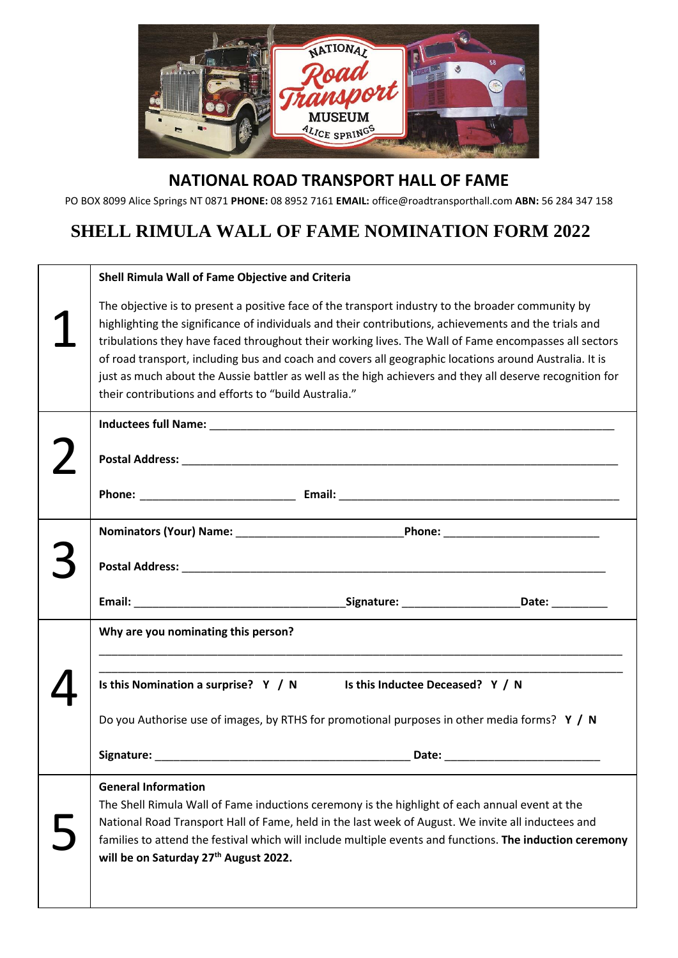

## **NATIONAL ROAD TRANSPORT HALL OF FAME**

PO BOX 8099 Alice Springs NT 0871 **PHONE:** 08 8952 7161 **EMAIL:** office@roadtransporthall.com **ABN:** 56 284 347 158

## **SHELL RIMULA WALL OF FAME NOMINATION FORM 2022**

|  | Shell Rimula Wall of Fame Objective and Criteria                                                                                                                                                                                                                                                                                                                                                                                                                                                                                                                                                   |  |  |
|--|----------------------------------------------------------------------------------------------------------------------------------------------------------------------------------------------------------------------------------------------------------------------------------------------------------------------------------------------------------------------------------------------------------------------------------------------------------------------------------------------------------------------------------------------------------------------------------------------------|--|--|
|  | The objective is to present a positive face of the transport industry to the broader community by<br>highlighting the significance of individuals and their contributions, achievements and the trials and<br>tribulations they have faced throughout their working lives. The Wall of Fame encompasses all sectors<br>of road transport, including bus and coach and covers all geographic locations around Australia. It is<br>just as much about the Aussie battler as well as the high achievers and they all deserve recognition for<br>their contributions and efforts to "build Australia." |  |  |
|  |                                                                                                                                                                                                                                                                                                                                                                                                                                                                                                                                                                                                    |  |  |
|  |                                                                                                                                                                                                                                                                                                                                                                                                                                                                                                                                                                                                    |  |  |
|  |                                                                                                                                                                                                                                                                                                                                                                                                                                                                                                                                                                                                    |  |  |
|  |                                                                                                                                                                                                                                                                                                                                                                                                                                                                                                                                                                                                    |  |  |
|  |                                                                                                                                                                                                                                                                                                                                                                                                                                                                                                                                                                                                    |  |  |
|  |                                                                                                                                                                                                                                                                                                                                                                                                                                                                                                                                                                                                    |  |  |
|  | Why are you nominating this person?                                                                                                                                                                                                                                                                                                                                                                                                                                                                                                                                                                |  |  |
|  | Is this Nomination a surprise? $Y / N$ Is this Inductee Deceased? $Y / N$                                                                                                                                                                                                                                                                                                                                                                                                                                                                                                                          |  |  |
|  | Do you Authorise use of images, by RTHS for promotional purposes in other media forms? $Y / N$                                                                                                                                                                                                                                                                                                                                                                                                                                                                                                     |  |  |
|  |                                                                                                                                                                                                                                                                                                                                                                                                                                                                                                                                                                                                    |  |  |
|  | <b>General Information</b><br>The Shell Rimula Wall of Fame inductions ceremony is the highlight of each annual event at the                                                                                                                                                                                                                                                                                                                                                                                                                                                                       |  |  |
|  | National Road Transport Hall of Fame, held in the last week of August. We invite all inductees and<br>families to attend the festival which will include multiple events and functions. The induction ceremony<br>will be on Saturday 27th August 2022.                                                                                                                                                                                                                                                                                                                                            |  |  |
|  |                                                                                                                                                                                                                                                                                                                                                                                                                                                                                                                                                                                                    |  |  |